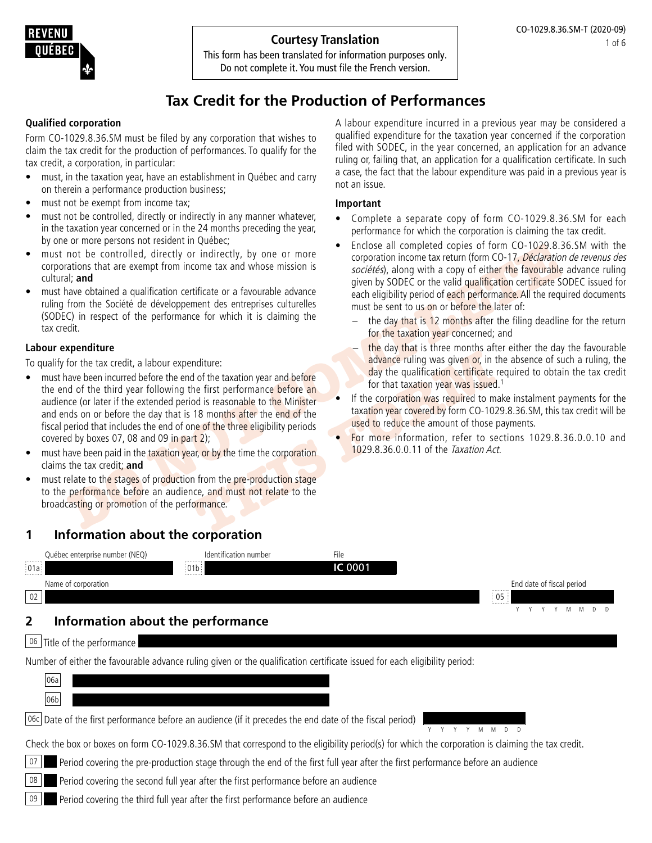#### **Courtesy Translation**

This form has been translated for information purposes only. Do not complete it. You must file the French version.

# **Tax Credit for the Production of Performances**

#### **Qualified corporation**

Form CO-1029.8.36.SM must be filed by any corporation that wishes to claim the tax credit for the production of performances. To qualify for the tax credit, a corporation, in particular:

- must, in the taxation year, have an establishment in Québec and carry on therein a performance production business;
- must not be exempt from income tax;
- must not be controlled, directly or indirectly in any manner whatever, in the taxation year concerned or in the 24 months preceding the year, by one or more persons not resident in Québec;
- must not be controlled, directly or indirectly, by one or more corporations that are exempt from income tax and whose mission is cultural; **and**
- must have obtained a qualification certificate or a favourable advance ruling from the Société de développement des entreprises culturelles (SODEC) in respect of the performance for which it is claiming the tax credit.

#### **Labour expenditure**

To qualify for the tax credit, a labour expenditure:

- Example the controlled, directly or indirectly, by one or more<br>
corporation income tax return (form CO-17*D)* 28.36.<br>
althat are exempt from income tax and whose mission is<br>
althat are exempt from income tax and whose miss moditure:<br>
advance ruling was given or, in the taxation year and before<br>
the first performance before an<br>
18 months after the end of the<br>
18 months after the end of the<br>
18 months after the end of the<br>
18 months after the • must have been incurred before the end of the taxation year and before the end of the third year following the first performance before an audience (or later if the extended period is reasonable to the Minister and ends on or before the day that is 18 months after the end of the fiscal period that includes the end of one of the three eligibility periods covered by boxes 07, 08 and 09 in part 2);
- must have been paid in the taxation year, or by the time the corporation claims the tax credit; **and**
- must relate to the stages of production from the pre-production stage to the performance before an audience, and must not relate to the broadcasting or promotion of the performance.

### **1 Information about the corporation**

Québec enterprise number (NEQ) ldentification number context enterprise number 01a 01b **IC** 0001 Name of corporation End date of fiscal period 02 05  $M$   $M$  D

## **2 Information about the performance**

| 06 | Title of the performance |

Number of either the favourable advance ruling given or the qualification certificate issued for each eligibility period:

| 06a                                                                                                                                               |  |
|---------------------------------------------------------------------------------------------------------------------------------------------------|--|
| 06b                                                                                                                                               |  |
| 06c Date of the first performance before an audience (if it precedes the end date of the fiscal period)                                           |  |
| Check the box or boxes on form CO-1029.8.36.SM that correspond to the eligibility period(s) for which the corporation is claiming the tax credit. |  |
| 07<br>Period covering the pre-production stage through the end of the first full year after the first performance before an audience              |  |
| 08<br>Period covering the second full year after the first performance before an audience                                                         |  |

 $\vert$  09  $\vert$  Period covering the third full year after the first performance before an audience

A labour expenditure incurred in a previous year may be considered a qualified expenditure for the taxation year concerned if the corporation filed with SODEC, in the year concerned, an application for an advance ruling or, failing that, an application for a qualification certificate. In such a case, the fact that the labour expenditure was paid in a previous year is not an issue.

#### **Important**

- Complete a separate copy of form CO-1029.8.36.SM for each performance for which the corporation is claiming the tax credit.
- Enclose all completed copies of form CO-1029.8.36.SM with the corporation income tax return (form CO-17, Déclaration de revenus des sociétés), along with a copy of either the favourable advance ruling given by SODEC or the valid qualification certificate SODEC issued for each eligibility period of each performance. All the required documents must be sent to us on or before the later of:
	- $-$  the day that is 12 months after the filing deadline for the return for the taxation year concerned; and
	- the day that is three months after either the day the favourable advance ruling was given or, in the absence of such a ruling, the day the qualification certificate required to obtain the tax credit for that taxation year was issued.<sup>1</sup>
- If the corporation was required to make instalment payments for the taxation year covered by form CO-1029.8.36.SM, this tax credit will be used to reduce the amount of those payments.
- For more information, refer to sections 1029.8.36.0.0.10 and 1029.8.36.0.0.11 of the Taxation Act.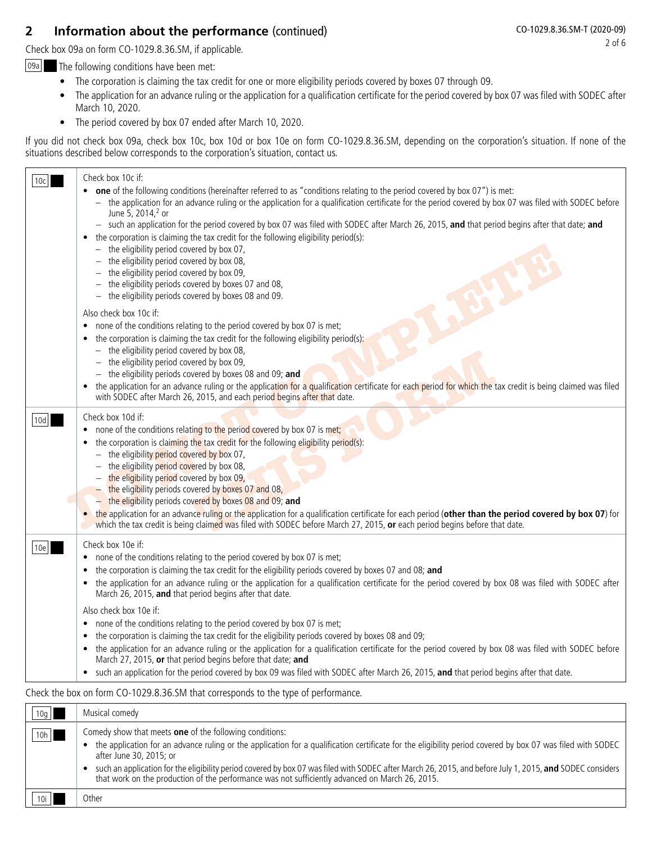# **2 Information about the performance** (continued)

Check box 09a on form CO-1029.8.36.SM, if applicable.

 $\boxed{09a}$  The following conditions have been met:

- The corporation is claiming the tax credit for one or more eligibility periods covered by boxes 07 through 09.
- The application for an advance ruling or the application for a qualification certificate for the period covered by box 07 was filed with SODEC after March 10, 2020.
- The period covered by box 07 ended after March 10, 2020.

If you did not check box 09a, check box 10c, box 10d or box 10e on form CO-1029.8.36.SM, depending on the corporation's situation. If none of the situations described below corresponds to the corporation's situation, contact us.

| 10c | Check box 10c if:<br>one of the following conditions (hereinafter referred to as "conditions relating to the period covered by box 07") is met:<br>$\bullet$<br>- the application for an advance ruling or the application for a qualification certificate for the period covered by box 07 was filed with SODEC before<br>June 5, 2014, <sup>2</sup> or<br>- such an application for the period covered by box 07 was filed with SODEC after March 26, 2015, and that period begins after that date; and<br>the corporation is claiming the tax credit for the following eligibility period(s):<br>$\bullet$<br>$-$ the eligibility period covered by box 07,<br>- the eligibility period covered by box 08,<br>the eligibility period covered by box 09,<br>the eligibility periods covered by boxes 07 and 08,<br>the eligibility periods covered by boxes 08 and 09.<br>Also check box 10c if:<br>none of the conditions relating to the period covered by box 07 is met;<br>$\bullet$<br>the corporation is claiming the tax credit for the following eligibility period(s):<br>$\bullet$<br>$-$ the eligibility period covered by box 08,<br>the eligibility period covered by box 09,<br>- the eligibility periods covered by boxes 08 and 09; and |
|-----|-----------------------------------------------------------------------------------------------------------------------------------------------------------------------------------------------------------------------------------------------------------------------------------------------------------------------------------------------------------------------------------------------------------------------------------------------------------------------------------------------------------------------------------------------------------------------------------------------------------------------------------------------------------------------------------------------------------------------------------------------------------------------------------------------------------------------------------------------------------------------------------------------------------------------------------------------------------------------------------------------------------------------------------------------------------------------------------------------------------------------------------------------------------------------------------------------------------------------------------------------------------|
|     | the application for an advance ruling or the application for a qualification certificate for each period for which the tax credit is being claimed was filed<br>with SODEC after March 26, 2015, and each period begins after that date.                                                                                                                                                                                                                                                                                                                                                                                                                                                                                                                                                                                                                                                                                                                                                                                                                                                                                                                                                                                                                  |
| 10d | Check box 10d if:<br>none of the conditions relating to the period covered by box 07 is met;<br>the corporation is claiming the tax credit for the following eligibility period(s):<br>$-$ the eligibility period covered by box 07,<br>- the eligibility period covered by box 08,<br>the eligibility period covered by box 09,<br>the eligibility periods covered by boxes 07 and 08,<br>- the eligibility periods covered by boxes 08 and 09; and<br>the application for an advance ruling or the application for a qualification certificate for each period (other than the period covered by box 07) for<br>which the tax credit is being claimed was filed with SODEC before March 27, 2015, or each period begins before that date.                                                                                                                                                                                                                                                                                                                                                                                                                                                                                                               |
| 10e | Check box 10e if:<br>none of the conditions relating to the period covered by box 07 is met;<br>the corporation is claiming the tax credit for the eligibility periods covered by boxes 07 and 08; and<br>the application for an advance ruling or the application for a qualification certificate for the period covered by box 08 was filed with SODEC after<br>$\bullet$<br>March 26, 2015, and that period begins after that date.<br>Also check box 10e if:<br>none of the conditions relating to the period covered by box 07 is met;<br>$\bullet$<br>the corporation is claiming the tax credit for the eligibility periods covered by boxes 08 and 09;<br>$\bullet$<br>the application for an advance ruling or the application for a qualification certificate for the period covered by box 08 was filed with SODEC before<br>March 27, 2015, or that period begins before that date; and<br>• such an application for the period covered by box 09 was filed with SODEC after March 26, 2015, and that period begins after that date.                                                                                                                                                                                                          |
|     | Check the box on form CO-1029.8.36.SM that corresponds to the type of performance.                                                                                                                                                                                                                                                                                                                                                                                                                                                                                                                                                                                                                                                                                                                                                                                                                                                                                                                                                                                                                                                                                                                                                                        |

| 10g | Musical comedy                                                                                                                                                                                                                                                                                                                                                                                                                                                                                                         |
|-----|------------------------------------------------------------------------------------------------------------------------------------------------------------------------------------------------------------------------------------------------------------------------------------------------------------------------------------------------------------------------------------------------------------------------------------------------------------------------------------------------------------------------|
| 10h | Comedy show that meets <b>one</b> of the following conditions:<br>the application for an advance ruling or the application for a qualification certificate for the eligibility period covered by box 07 was filed with SODEC<br>after June 30, 2015: or<br>such an application for the eligibility period covered by box 07 was filed with SODEC after March 26, 2015, and before July 1, 2015, and SODEC considers<br>that work on the production of the performance was not sufficiently advanced on March 26, 2015. |
| 10i | Other                                                                                                                                                                                                                                                                                                                                                                                                                                                                                                                  |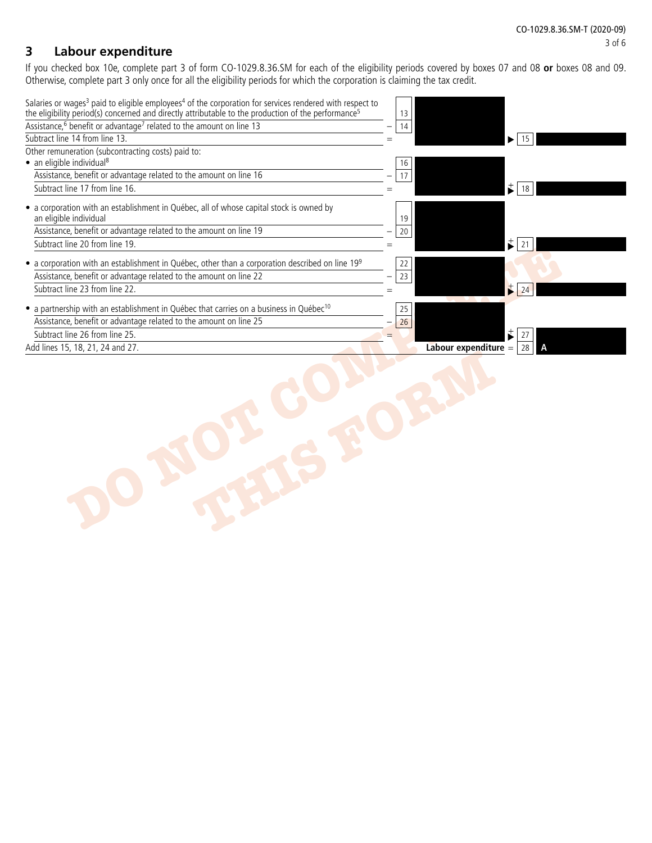### **3 Labour expenditure**

If you checked box 10e, complete part 3 of form CO-1029.8.36.SM for each of the eligibility periods covered by boxes 07 and 08 **or** boxes 08 and 09. Otherwise, complete part 3 only once for all the eligibility periods for which the corporation is claiming the tax credit.

| 14  |                            |
|-----|----------------------------|
| $=$ | $\blacktriangleright$   15 |
|     |                            |
| 16  |                            |
| 17  |                            |
|     | $\frac{+}{2}$ 18           |
| 19  |                            |
| 20  |                            |
|     | t<br>-21                   |
| 22  |                            |
| 23  |                            |
| $=$ | $\ddagger$<br>24           |
| 25  |                            |
| 26  |                            |
|     | $\vec{r}$<br>27            |
|     | Labour expenditure $=$ 28  |
|     |                            |
|     | 13                         |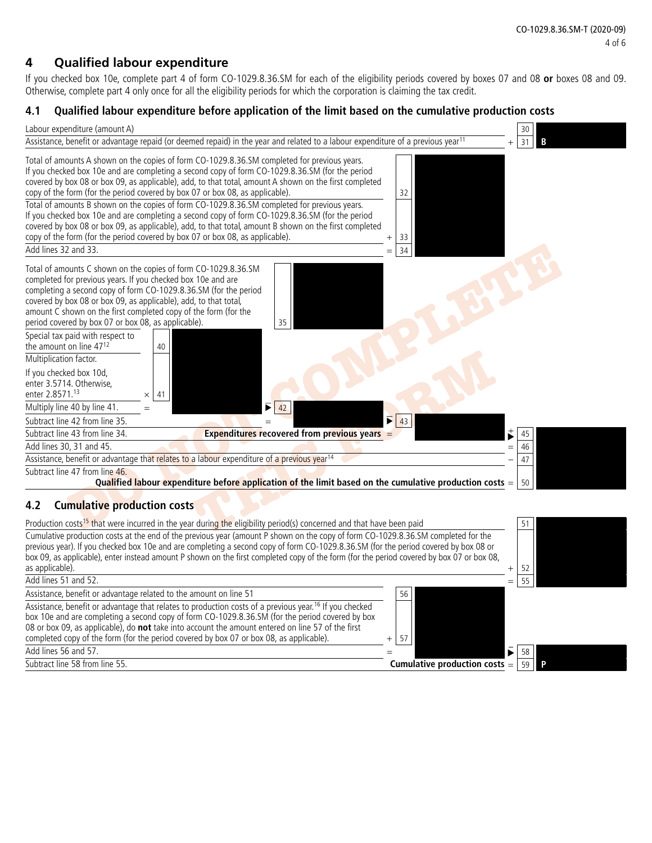# **4 Qualified labour expenditure**

If you checked box 10e, complete part 4 of form CO-1029.8.36.SM for each of the eligibility periods covered by boxes 07 and 08 **or** boxes 08 and 09. Otherwise, complete part 4 only once for all the eligibility periods for which the corporation is claiming the tax credit.

### **4.1 Qualified labour expenditure before application of the limit based on the cumulative production costs**

| Labour expenditure (amount A)                                                                                                                                                                                                                                                                                                                                                                                                                                                                                                                                                                                                                                                                                                                                                                                                      | 30        |
|------------------------------------------------------------------------------------------------------------------------------------------------------------------------------------------------------------------------------------------------------------------------------------------------------------------------------------------------------------------------------------------------------------------------------------------------------------------------------------------------------------------------------------------------------------------------------------------------------------------------------------------------------------------------------------------------------------------------------------------------------------------------------------------------------------------------------------|-----------|
| Assistance, benefit or advantage repaid (or deemed repaid) in the year and related to a labour expenditure of a previous year <sup>11</sup>                                                                                                                                                                                                                                                                                                                                                                                                                                                                                                                                                                                                                                                                                        | 31        |
| Total of amounts A shown on the copies of form CO-1029.8.36.SM completed for previous years.<br>If you checked box 10e and are completing a second copy of form CO-1029.8.36.SM (for the period<br>covered by box 08 or box 09, as applicable), add, to that total, amount A shown on the first completed<br>copy of the form (for the period covered by box 07 or box 08, as applicable).<br>32<br>Total of amounts B shown on the copies of form CO-1029.8.36.SM completed for previous years.<br>If you checked box 10e and are completing a second copy of form CO-1029.8.36.SM (for the period<br>covered by box 08 or box 09, as applicable), add, to that total, amount B shown on the first completed<br>copy of the form (for the period covered by box 07 or box 08, as applicable).<br>33<br>Add lines 32 and 33.<br>34 |           |
| Total of amounts C shown on the copies of form CO-1029.8.36.SM<br>completed for previous years. If you checked box 10e and are<br>completing a second copy of form CO-1029.8.36.SM (for the period<br>covered by box 08 or box 09, as applicable), add, to that total,<br>amount C shown on the first completed copy of the form (for the<br>period covered by box 07 or box 08, as applicable).<br>35<br>Special tax paid with respect to<br>the amount on line 4712<br>40<br>Multiplication factor.<br>If you checked box 10d,<br>enter 3.5714. Otherwise.<br>enter 2.8571.13<br>41<br>×<br>Multiply line 40 by line 41.<br>42<br>Б<br>Subtract line 42 from line 35.<br>43<br>Subtract line 43 from line 34.<br><b>Expenditures recovered from previous years</b>                                                               | 45        |
| Add lines 30, 31 and 45.                                                                                                                                                                                                                                                                                                                                                                                                                                                                                                                                                                                                                                                                                                                                                                                                           | 46        |
| Assistance, benefit or advantage that relates to a labour expenditure of a previous year <sup>14</sup>                                                                                                                                                                                                                                                                                                                                                                                                                                                                                                                                                                                                                                                                                                                             | 47        |
| Subtract line 47 from line 46.<br>Qualified labour expenditure before application of the limit based on the cumulative production costs $=$                                                                                                                                                                                                                                                                                                                                                                                                                                                                                                                                                                                                                                                                                        | 50        |
| <b>Cumulative production costs</b><br>4.2                                                                                                                                                                                                                                                                                                                                                                                                                                                                                                                                                                                                                                                                                                                                                                                          |           |
| Production costs <sup>15</sup> that were incurred in the year during the eligibility period(s) concerned and that have been paid<br>Cumulative production costs at the end of the previous year (amount P shown on the copy of form CO-1029.8.36.SM completed for the<br>previous year). If you checked box 10e and are completing a second copy of form CO-1029.8.36.SM (for the period covered by box 08 or<br>box 09, as applicable), enter instead amount P shown on the first completed copy of the form (for the period covered by box 07 or box 08,<br>as applicable).                                                                                                                                                                                                                                                      | 51<br>-52 |
| Add lines 51 and 52.                                                                                                                                                                                                                                                                                                                                                                                                                                                                                                                                                                                                                                                                                                                                                                                                               | 55        |
| Assistance, benefit or advantage related to the amount on line 51<br>56                                                                                                                                                                                                                                                                                                                                                                                                                                                                                                                                                                                                                                                                                                                                                            |           |
| Assistance, benefit or advantage that relates to production costs of a previous year. <sup>16</sup> If you checked<br>box 10e and are completing a second copy of form CO-1029.8.36.SM (for the period covered by box<br>08 or box 09, as applicable), do not take into account the amount entered on line 57 of the first<br>completed copy of the form (for the period covered by box 07 or box 08, as applicable).<br>57<br>$^{+}$                                                                                                                                                                                                                                                                                                                                                                                              |           |

**Cumulative production costs** =  $\boxed{59}$  **P** 

 $\overline{\text{Add lines}}$  56 and 57.  $\overline{\text{Subtract line}}$  58 from line 55.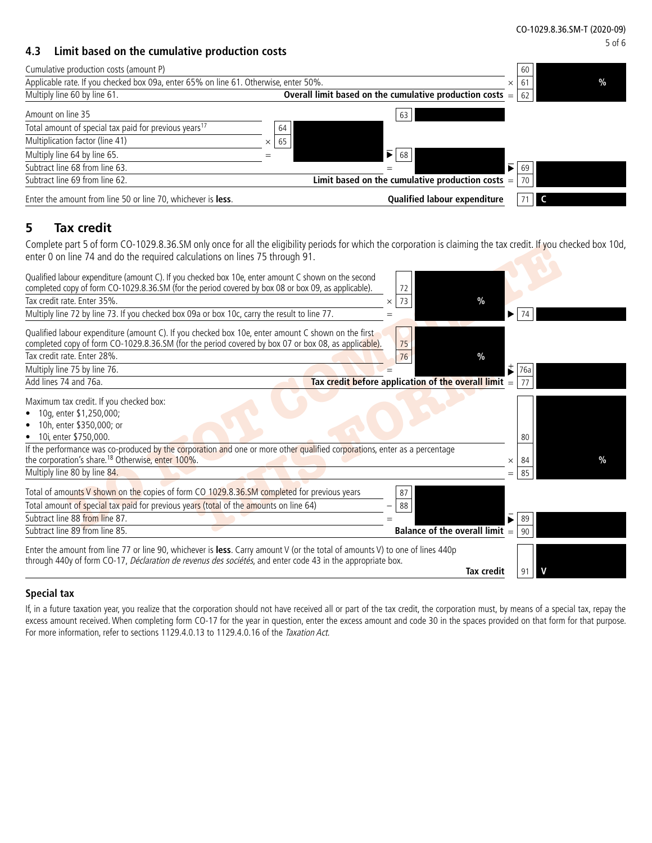#### **4.3 Limit based on the cumulative production costs**

| Cumulative production costs (amount P)                                               |                                                            |    |                                                    | 60   |  |
|--------------------------------------------------------------------------------------|------------------------------------------------------------|----|----------------------------------------------------|------|--|
| Applicable rate. If you checked box 09a, enter 65% on line 61. Otherwise, enter 50%. |                                                            |    | 61<br>×                                            | $\%$ |  |
| Multiply line 60 by line 61.                                                         | Overall limit based on the cumulative production costs $=$ |    |                                                    | 62   |  |
| Amount on line 35                                                                    |                                                            |    | 63                                                 |      |  |
| Total amount of special tax paid for previous years <sup>17</sup>                    |                                                            | 64 |                                                    |      |  |
| Multiplication factor (line 41)                                                      | $\times$                                                   | 65 |                                                    |      |  |
| Multiply line 64 by line 65.                                                         | $=$                                                        |    | $\mathbf{F}$ 68                                    |      |  |
| Subtract line 68 from line 63.                                                       |                                                            |    | $\overline{\blacktriangleright}$<br>=              | 69   |  |
| Subtract line 69 from line 62.                                                       |                                                            |    | Limit based on the cumulative production costs $=$ | 70   |  |
| Enter the amount from line 50 or line 70, whichever is less.                         |                                                            |    | <b>Qualified labour expenditure</b>                |      |  |

### **5 Tax credit**

Complete part 5 of form CO-1029.8.36.SM only once for all the eligibility periods for which the corporation is claiming the tax credit. If you checked box 10d, enter 0 on line 74 and do the required calculations on lines 75 through 91.

| Complete part 5 of form CO-TUZ9.8.36.SM only once for all the eligibility periods for which the corporation is claiming the tax credit. If you checked box TUG,                                                                            |                                                        |          |      |      |
|--------------------------------------------------------------------------------------------------------------------------------------------------------------------------------------------------------------------------------------------|--------------------------------------------------------|----------|------|------|
| enter 0 on line 74 and do the required calculations on lines 75 through 91.                                                                                                                                                                |                                                        |          |      |      |
| Qualified labour expenditure (amount C). If you checked box 10e, enter amount C shown on the second<br>completed copy of form CO-1029.8.36.SM (for the period covered by box 08 or box 09, as applicable).                                 | 72                                                     |          |      |      |
| Tax credit rate. Enter 35%.                                                                                                                                                                                                                | $\frac{0}{0}$<br>73<br>×                               |          |      |      |
| Multiply line 72 by line 73. If you checked box 09a or box 10c, carry the result to line 77.                                                                                                                                               |                                                        | ▶        | -74  |      |
| Qualified labour expenditure (amount C). If you checked box 10e, enter amount C shown on the first<br>completed copy of form CO-1029.8.36.SM (for the period covered by box 07 or box 08, as applicable).                                  | 75                                                     |          |      |      |
| Tax credit rate. Enter 28%.                                                                                                                                                                                                                | 76<br>$\%$                                             |          |      |      |
| Multiply line 75 by line 76.                                                                                                                                                                                                               |                                                        | ₿        | 76a  |      |
| Add lines 74 and 76a.                                                                                                                                                                                                                      | Tax credit before application of the overall limit $=$ |          |      |      |
| Maximum tax credit. If you checked box:<br>10g, enter \$1,250,000;<br>10h, enter \$350,000; or<br>10i, enter \$750,000.<br>٠                                                                                                               |                                                        |          | 80   |      |
| If the performance was co-produced by the corporation and one or more other qualified corporations, enter as a percentage                                                                                                                  |                                                        |          |      |      |
| the corporation's share. <sup>18</sup> Otherwise, enter 100%.                                                                                                                                                                              |                                                        | $\times$ | 84   | $\%$ |
| Multiply line 80 by line 84.                                                                                                                                                                                                               |                                                        | $=$      | 85   |      |
| Total of amounts V shown on the copies of form CO 1029.8.36.SM completed for previous years                                                                                                                                                | 87                                                     |          |      |      |
| Total amount of special tax paid for previous years (total of the amounts on line 64)                                                                                                                                                      | 88                                                     |          |      |      |
| Subtract line 88 from line 87.                                                                                                                                                                                                             |                                                        |          | 89   |      |
| Subtract line 89 from line 85.                                                                                                                                                                                                             | Balance of the overall limit $=$                       |          | l 90 |      |
|                                                                                                                                                                                                                                            |                                                        |          |      |      |
| Enter the amount from line 77 or line 90, whichever is less. Carry amount V (or the total of amounts V) to one of lines 440p<br>through 440y of form CO-17, Déclaration de revenus des sociétés, and enter code 43 in the appropriate box. |                                                        |          |      |      |
|                                                                                                                                                                                                                                            | <b>Tax credit</b>                                      |          | 91   |      |
|                                                                                                                                                                                                                                            |                                                        |          |      |      |

#### **Special tax**

If, in a future taxation year, you realize that the corporation should not have received all or part of the tax credit, the corporation must, by means of a special tax, repay the excess amount received. When completing form CO-17 for the year in question, enter the excess amount and code 30 in the spaces provided on that form for that purpose. For more information, refer to sections 1129.4.0.13 to 1129.4.0.16 of the Taxation Act.